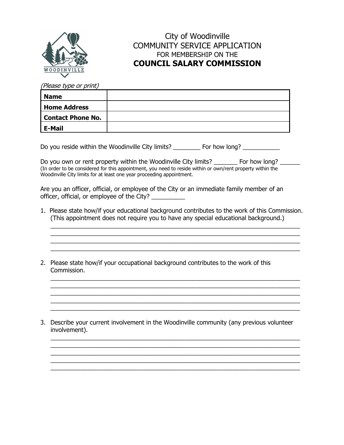

## City of Woodinville COMMUNITY SERVICE APPLICATION FOR MEMBERSHIP ON THE **COUNCIL SALARY COMMISSION**

(Please type or print)

| <b>Name</b>         |  |
|---------------------|--|
| <b>Home Address</b> |  |
| Contact Phone No.   |  |
| <b>E-Mail</b>       |  |

Do you reside within the Woodinville City limits? \_\_\_\_\_\_\_\_\_\_ For how long? \_\_\_\_\_\_\_\_\_\_\_

Do you own or rent property within the Woodinville City limits? \_\_\_\_\_\_\_ For how long? \_\_\_\_\_\_ (In order to be considered for this appointment, you need to reside within or own/rent property within the Woodinville City limits for at least one year proceeding appointment.

Are you an officer, official, or employee of the City or an immediate family member of an officer, official, or employee of the City? \_\_\_\_\_\_\_\_\_\_\_

1. Please state how/if your educational background contributes to the work of this Commission. (This appointment does not require you to have any special educational background.)

 $\_$ 

 $\mathcal{L}_\text{max}$  , and the contract of the contract of the contract of the contract of the contract of the contract of the contract of the contract of the contract of the contract of the contract of the contract of the contr  $\overline{\phantom{a}}$  , and the contract of the contract of the contract of the contract of the contract of the contract of the contract of the contract of the contract of the contract of the contract of the contract of the contrac

 $\mathcal{L}_\text{max}$  , and the contract of the contract of the contract of the contract of the contract of the contract of the contract of the contract of the contract of the contract of the contract of the contract of the contr  $\mathcal{L}_\text{max}$  , and the contract of the contract of the contract of the contract of the contract of the contract of the contract of the contract of the contract of the contract of the contract of the contract of the contr  $\overline{\phantom{a}}$  , and the set of the set of the set of the set of the set of the set of the set of the set of the set of the set of the set of the set of the set of the set of the set of the set of the set of the set of the s

 $\mathcal{L}_\text{max}$  , and the contract of the contract of the contract of the contract of the contract of the contract of the contract of the contract of the contract of the contract of the contract of the contract of the contr

 $\_$  $\_$ 

 $\_$ 

2. Please state how/if your occupational background contributes to the work of this Commission.

3. Describe your current involvement in the Woodinville community (any previous volunteer involvement).